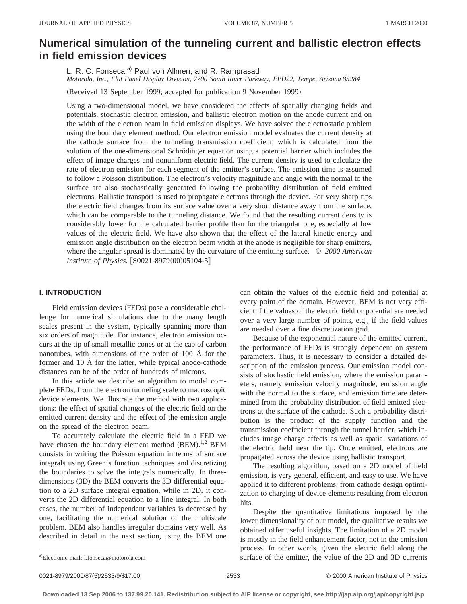# **Numerical simulation of the tunneling current and ballistic electron effects in field emission devices**

L. R. C. Fonseca,<sup>a)</sup> Paul von Allmen, and R. Ramprasad

*Motorola, Inc., Flat Panel Display Division, 7700 South River Parkway, FPD22, Tempe, Arizona 85284*

(Received 13 September 1999; accepted for publication 9 November 1999)

Using a two-dimensional model, we have considered the effects of spatially changing fields and potentials, stochastic electron emission, and ballistic electron motion on the anode current and on the width of the electron beam in field emission displays. We have solved the electrostatic problem using the boundary element method. Our electron emission model evaluates the current density at the cathode surface from the tunneling transmission coefficient, which is calculated from the solution of the one-dimensional Schrödinger equation using a potential barrier which includes the effect of image charges and nonuniform electric field. The current density is used to calculate the rate of electron emission for each segment of the emitter's surface. The emission time is assumed to follow a Poisson distribution. The electron's velocity magnitude and angle with the normal to the surface are also stochastically generated following the probability distribution of field emitted electrons. Ballistic transport is used to propagate electrons through the device. For very sharp tips the electric field changes from its surface value over a very short distance away from the surface, which can be comparable to the tunneling distance. We found that the resulting current density is considerably lower for the calculated barrier profile than for the triangular one, especially at low values of the electric field. We have also shown that the effect of the lateral kinetic energy and emission angle distribution on the electron beam width at the anode is negligible for sharp emitters, where the angular spread is dominated by the curvature of the emitting surface. © *2000 American Institute of Physics.* [S0021-8979(00)05104-5]

## **I. INTRODUCTION**

Field emission devices (FEDs) pose a considerable challenge for numerical simulations due to the many length scales present in the system, typically spanning more than six orders of magnitude. For instance, electron emission occurs at the tip of small metallic cones or at the cap of carbon nanotubes, with dimensions of the order of 100 Å for the former and 10 Å for the latter, while typical anode-cathode distances can be of the order of hundreds of microns.

In this article we describe an algorithm to model complete FEDs, from the electron tunneling scale to macroscopic device elements. We illustrate the method with two applications: the effect of spatial changes of the electric field on the emitted current density and the effect of the emission angle on the spread of the electron beam.

To accurately calculate the electric field in a FED we have chosen the boundary element method  $(BEM).<sup>1,2</sup>$  BEM consists in writing the Poisson equation in terms of surface integrals using Green's function techniques and discretizing the boundaries to solve the integrals numerically. In threedimensions  $(3D)$  the BEM converts the 3D differential equation to a 2D surface integral equation, while in 2D, it converts the 2D differential equation to a line integral. In both cases, the number of independent variables is decreased by one, facilitating the numerical solution of the multiscale problem. BEM also handles irregular domains very well. As described in detail in the next section, using the BEM one can obtain the values of the electric field and potential at every point of the domain. However, BEM is not very efficient if the values of the electric field or potential are needed over a very large number of points, e.g., if the field values are needed over a fine discretization grid.

Because of the exponential nature of the emitted current, the performance of FEDs is strongly dependent on system parameters. Thus, it is necessary to consider a detailed description of the emission process. Our emission model consists of stochastic field emission, where the emission parameters, namely emission velocity magnitude, emission angle with the normal to the surface, and emission time are determined from the probability distribution of field emitted electrons at the surface of the cathode. Such a probability distribution is the product of the supply function and the transmission coefficient through the tunnel barrier, which includes image charge effects as well as spatial variations of the electric field near the tip. Once emitted, electrons are propagated across the device using ballistic transport.

The resulting algorithm, based on a 2D model of field emission, is very general, efficient, and easy to use. We have applied it to different problems, from cathode design optimization to charging of device elements resulting from electron hits.

Despite the quantitative limitations imposed by the lower dimensionality of our model, the qualitative results we obtained offer useful insights. The limitation of a 2D model is mostly in the field enhancement factor, not in the emission process. In other words, given the electric field along the surface of the emitter, the value of the 2D and 3D currents

Electronic mail: l.fonseca@motorola.com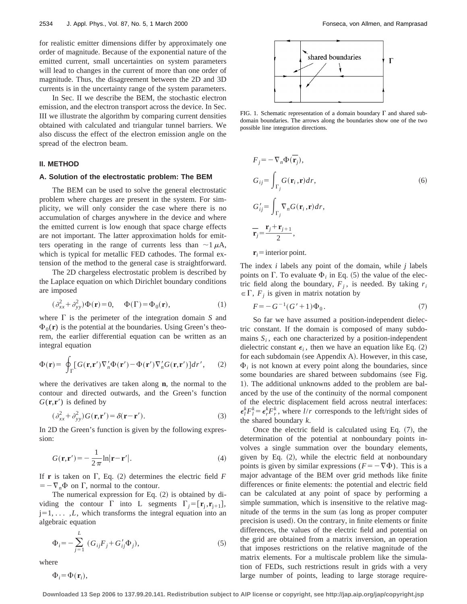for realistic emitter dimensions differ by approximately one order of magnitude. Because of the exponential nature of the emitted current, small uncertainties on system parameters will lead to changes in the current of more than one order of magnitude. Thus, the disagreement between the 2D and 3D currents is in the uncertainty range of the system parameters.

In Sec. II we describe the BEM, the stochastic electron emission, and the electron transport across the device. In Sec. III we illustrate the algorithm by comparing current densities obtained with calculated and triangular tunnel barriers. We also discuss the effect of the electron emission angle on the spread of the electron beam.

### **II. METHOD**

# **A. Solution of the electrostatic problem: The BEM**

The BEM can be used to solve the general electrostatic problem where charges are present in the system. For simplicity, we will only consider the case where there is no accumulation of charges anywhere in the device and where the emitted current is low enough that space charge effects are not important. The latter approximation holds for emitters operating in the range of currents less than  $\sim$ 1  $\mu$ A, which is typical for metallic FED cathodes. The formal extension of the method to the general case is straightforward.

The 2D chargeless electrostatic problem is described by the Laplace equation on which Dirichlet boundary conditions are imposed

$$
(\partial_{xx}^2 + \partial_{yy}^2)\Phi(\mathbf{r}) = 0, \quad \Phi(\Gamma) = \Phi_0(\mathbf{r}), \tag{1}
$$

where  $\Gamma$  is the perimeter of the integration domain *S* and  $\Phi_0(\mathbf{r})$  is the potential at the boundaries. Using Green's theorem, the earlier differential equation can be written as an integral equation

$$
\Phi(\mathbf{r}) = \oint_{\Gamma} [G(\mathbf{r}, \mathbf{r}') \nabla_n' \Phi(\mathbf{r}') - \Phi(\mathbf{r}') \nabla_n' G(\mathbf{r}, \mathbf{r}')] dr', \qquad (2)
$$

where the derivatives are taken along **n**, the normal to the contour and directed outwards, and the Green's function  $G(\mathbf{r}, \mathbf{r}')$  is defined by

$$
(\partial_{xx}^2 + \partial_{yy}^2)G(\mathbf{r}, \mathbf{r}') = \delta(\mathbf{r} - \mathbf{r}').
$$
 (3)

In 2D the Green's function is given by the following expression:

$$
G(\mathbf{r}, \mathbf{r}') = -\frac{1}{2\pi} \ln|\mathbf{r} - \mathbf{r}'|.
$$
 (4)

If **r** is taken on  $\Gamma$ , Eq. (2) determines the electric field *F*  $=-\nabla_n \Phi$  on  $\Gamma$ , normal to the contour.

The numerical expression for Eq.  $(2)$  is obtained by dividing the contour  $\Gamma$  into L segments  $\Gamma_i = [\mathbf{r}_i, \mathbf{r}_{i+1}],$  $j=1, \ldots, L$ , which transforms the integral equation into an algebraic equation

$$
\Phi_i = -\sum_{j=1}^{L} (G_{ij}F_j + G'_{ij}\Phi_j),
$$
\n(5)

where

$$
\Phi_i = \Phi(\mathbf{r}_i),
$$



FIG. 1. Schematic representation of a domain boundary  $\Gamma$  and shared subdomain boundaries. The arrows along the boundaries show one of the two possible line integration directions.

$$
F_j = -\nabla_n \Phi(\mathbf{\bar{r}}_j),
$$
  
\n
$$
G_{ij} = \int_{\Gamma_j} G(\mathbf{r}_i, \mathbf{r}) dr,
$$
  
\n
$$
G'_{ij} = \int_{\Gamma_j} \nabla_n G(\mathbf{r}_i, \mathbf{r}) dr,
$$
  
\n
$$
\mathbf{\bar{r}}_j = \frac{\mathbf{r}_j + \mathbf{r}_{j+1}}{2},
$$
  
\n
$$
\mathbf{r}_j = \text{interior point.}
$$
 (6)

The index *i* labels any point of the domain, while *j* labels points on  $\Gamma$ . To evaluate  $\Phi_i$  in Eq. (5) the value of the electric field along the boundary,  $F_i$ , is needed. By taking  $r_i$  $\in \Gamma$ ,  $F_i$  is given in matrix notation by

$$
F = -G^{-1}(G'+1)\Phi_0.
$$
 (7)

So far we have assumed a position-independent dielectric constant. If the domain is composed of many subdomains  $S_i$ , each one characterized by a position-independent dielectric constant  $\epsilon_i$ , then we have an equation like Eq. (2) for each subdomain (see Appendix A). However, in this case,  $\Phi_i$  is not known at every point along the boundaries, since some boundaries are shared between subdomains (see Fig. 1). The additional unknowns added to the problem are balanced by the use of the continuity of the normal component of the electric displacement field across neutral interfaces:  $\epsilon_l^k F_l^k = \epsilon_r^k F_r^k$ , where *l/r* corresponds to the left/right sides of the shared boundary *k*.

Once the electric field is calculated using Eq.  $(7)$ , the determination of the potential at nonboundary points involves a single summation over the boundary elements, given by Eq.  $(2)$ , while the electric field at nonboundary points is given by similar expressions  $(F = -\nabla \Phi)$ . This is a major advantage of the BEM over grid methods like finite differences or finite elements: the potential and electric field can be calculated at any point of space by performing a simple summation, which is insensitive to the relative magnitude of the terms in the sum (as long as proper computer precision is used). On the contrary, in finite elements or finite differences, the values of the electric field and potential on the grid are obtained from a matrix inversion, an operation that imposes restrictions on the relative magnitude of the matrix elements. For a multiscale problem like the simulation of FEDs, such restrictions result in grids with a very large number of points, leading to large storage require-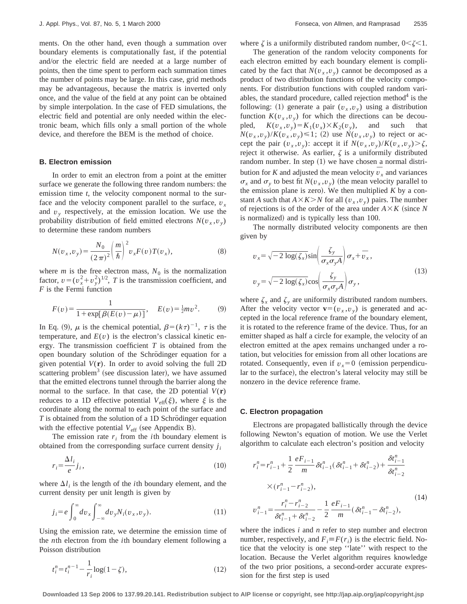ments. On the other hand, even though a summation over boundary elements is computationally fast, if the potential and/or the electric field are needed at a large number of points, then the time spent to perform each summation times the number of points may be large. In this case, grid methods may be advantageous, because the matrix is inverted only once, and the value of the field at any point can be obtained by simple interpolation. In the case of FED simulations, the electric field and potential are only needed within the electronic beam, which fills only a small portion of the whole device, and therefore the BEM is the method of choice.

### **B. Electron emission**

In order to emit an electron from a point at the emitter surface we generate the following three random numbers: the emission time *t*, the velocity component normal to the surface and the velocity component parallel to the surface,  $v<sub>x</sub>$ and  $v_y$  respectively, at the emission location. We use the probability distribution of field emitted electrons  $N(v_x, v_y)$ to determine these random numbers

$$
N(v_x, v_y) = \frac{N_0}{(2\pi)^2} \left(\frac{m}{\hbar}\right)^2 v_x F(v) T(v_x),
$$
 (8)

where *m* is the free electron mass,  $N_0$  is the normalization factor,  $v = (v_x^2 + v_y^2)^{1/2}$ , *T* is the transmission coefficient, and *F* is the Fermi function

$$
F(v) = \frac{1}{1 + \exp[\beta(E(v) - \mu)]}, \quad E(v) = \frac{1}{2}mv^2.
$$
 (9)

In Eq. (9),  $\mu$  is the chemical potential,  $\beta = (k\tau)^{-1}$ ,  $\tau$  is the temperature, and  $E(v)$  is the electron's classical kinetic energy. The transmission coefficient *T* is obtained from the open boundary solution of the Schrödinger equation for a given potential  $V(\mathbf{r})$ . In order to avoid solving the full 2D scattering problem<sup>3</sup> (see discussion later), we have assumed that the emitted electrons tunnel through the barrier along the normal to the surface. In that case, the 2D potential  $V(\mathbf{r})$ reduces to a 1D effective potential  $V_{\text{eff}}(\xi)$ , where  $\xi$  is the coordinate along the normal to each point of the surface and *T* is obtained from the solution of a 1D Schrödinger equation with the effective potential  $V_{\text{eff}}$  (see Appendix B).

The emission rate  $r_i$  from the *i*th boundary element is obtained from the corresponding surface current density  $j_i$ 

$$
r_i = \frac{\Delta l_i}{e} j_i, \tag{10}
$$

where  $\Delta l_i$  is the length of the *i*th boundary element, and the current density per unit length is given by

$$
j_i = e \int_0^\infty dv_x \int_{-\infty}^\infty dv_y N_i(v_x, v_y).
$$
 (11)

Using the emission rate, we determine the emission time of the *n*th electron from the *i*th boundary element following a Poisson distribution

$$
t_i^n = t_i^{n-1} - \frac{1}{r_i} \log(1 - \zeta),\tag{12}
$$

where  $\zeta$  is a uniformily distributed random number,  $0<\zeta<1$ .

The generation of the random velocity components for each electron emitted by each boundary element is complicated by the fact that  $N(v_x, v_y)$  cannot be decomposed as a product of two distribution functions of the velocity components. For distribution functions with coupled random variables, the standard procedure, called rejection method $4$  is the following: (1) generate a pair  $(v_x, v_y)$  using a distribution function  $K(v_x, v_y)$  for which the directions can be decoupled,  $K(v_x, v_y) = K_1(v_x) \times K_2(v_y)$ , and such that  $N(v_x, v_y)/K(v_x, v_y) \leq 1$ ; (2) use  $N(v_x, v_y)$  to reject or accept the pair  $(v_x, v_y)$ : accept it if  $N(v_x, v_y)/K(v_x, v_y) \ge \zeta$ , reject it otherwise. As earlier,  $\zeta$  is a uniformily distributed random number. In step  $(1)$  we have chosen a normal distribution for *K* and adjusted the mean velocity  $\overline{v}_x$  and variances  $\sigma_x$  and  $\sigma_y$  to best fit *N*( $v_x$ , $v_y$ ) (the mean velocity parallel to the emission plane is zero). We then multiplied  $K$  by a constant *A* such that  $A \times K > N$  for all ( $v_x$ ,  $v_y$ ) pairs. The number of rejections is of the order of the area under  $A \times K$  (since *N*) is normalized) and is typically less than 100.

The normally distributed velocity components are then given by

$$
v_x = \sqrt{-2 \log(\zeta_x)} \sin\left(\frac{\zeta_y}{\sigma_x \sigma_y A}\right) \sigma_x + \bar{v}_x,
$$
  

$$
v_y = \sqrt{-2 \log(\zeta_x)} \cos\left(\frac{\zeta_y}{\sigma_x \sigma_y A}\right) \sigma_y,
$$
 (13)

where  $\zeta_x$  and  $\zeta_y$  are uniformily distributed random numbers. After the velocity vector  $\mathbf{v}=(v_x,v_y)$  is generated and accepted in the local reference frame of the boundary element, it is rotated to the reference frame of the device. Thus, for an emitter shaped as half a circle for example, the velocity of an electron emitted at the apex remains unchanged under a rotation, but velocities for emission from all other locations are rotated. Consequently, even if  $v_x=0$  (emission perpendicular to the surface), the electron's lateral velocity may still be nonzero in the device reference frame.

#### **C. Electron propagation**

Electrons are propagated ballistically through the device following Newton's equation of motion. We use the Verlet algorithm to calculate each electron's position and velocity

$$
r_i^n = r_{i-1}^n + \frac{1}{2} \frac{eF_{i-1}}{m} \delta t_{i-1}^n (\delta t_{i-1}^n + \delta t_{i-2}^n) + \frac{\delta t_{i-1}^n}{\delta t_{i-2}^n}
$$
  
 
$$
\times (r_{i-1}^n - r_{i-2}^n),
$$
  
\n
$$
v_{i-1}^n = \frac{r_i^n - r_{i-2}^n}{\delta t_{i-1}^n + \delta t_{i-2}^n} - \frac{1}{2} \frac{eF_{i-1}}{m} (\delta t_{i-1}^n - \delta t_{i-2}^n),
$$
  
\n(14)

where the indices *i* and *n* refer to step number and electron number, respectively, and  $F_i \equiv F(r_i)$  is the electric field. Notice that the velocity is one step ''late'' with respect to the location. Because the Verlet algorithm requires knowledge of the two prior positions, a second-order accurate expression for the first step is used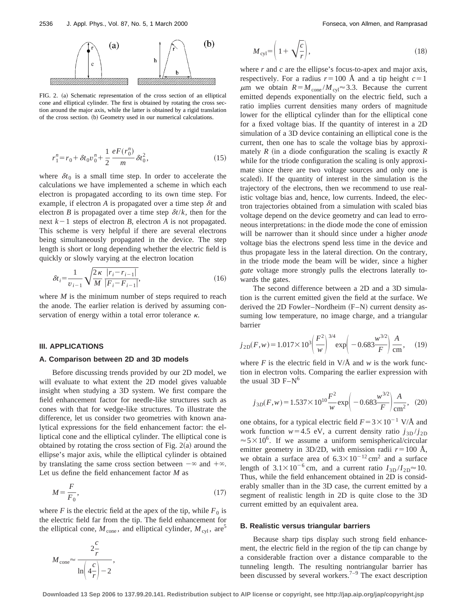

FIG. 2. (a) Schematic representation of the cross section of an elliptical cone and elliptical cylinder. The first is obtained by rotating the cross section around the major axis, while the latter is obtained by a rigid translation of the cross section. (b) Geometry used in our numerical calculations.

$$
r_1^n = r_0 + \delta t_0 v_0^n + \frac{1}{2} \frac{eF(r_0^n)}{m} \delta t_0^2, \tag{15}
$$

where  $\delta t_0$  is a small time step. In order to accelerate the calculations we have implemented a scheme in which each electron is propagated according to its own time step. For example, if electron A is propagated over a time step  $\delta t$  and electron *B* is propagated over a time step  $\delta t/k$ , then for the next  $k-1$  steps of electron *B*, electron *A* is not propagated. This scheme is very helpful if there are several electrons being simultaneously propagated in the device. The step length is short or long depending whether the electric field is quickly or slowly varying at the electron location

$$
\delta t_i = \frac{1}{v_{i-1}} \sqrt{\frac{2\kappa}{M} \frac{|r_i - r_{i-1}|}{|F_i - F_{i-1}|}},\tag{16}
$$

where *M* is the minimum number of steps required to reach the anode. The earlier relation is derived by assuming conservation of energy within a total error tolerance  $\kappa$ .

# **III. APPLICATIONS**

# **A. Comparison between 2D and 3D models**

Before discussing trends provided by our 2D model, we will evaluate to what extent the 2D model gives valuable insight when studying a 3D system. We first compare the field enhancement factor for needle-like structures such as cones with that for wedge-like structures. To illustrate the difference, let us consider two geometries with known analytical expressions for the field enhancement factor: the elliptical cone and the elliptical cylinder. The elliptical cone is obtained by rotating the cross section of Fig.  $2(a)$  around the ellipse's major axis, while the elliptical cylinder is obtained by translating the same cross section between  $-\infty$  and  $+\infty$ . Let us define the field enhancement factor *M* as

$$
M = \frac{F}{F_0},\tag{17}
$$

where *F* is the electric field at the apex of the tip, while  $F_0$  is the electric field far from the tip. The field enhancement for the elliptical cone,  $M_{\text{cone}}$ , and elliptical cylinder,  $M_{\text{cyl}}$ , are<sup>5</sup>

$$
M_{\rm cyl} = \left(1 + \sqrt{\frac{c}{r}}\right),\tag{18}
$$

where *r* and *c* are the ellipse's focus-to-apex and major axis, respectively. For a radius  $r=100$  Å and a tip height  $c=1$  $\mu$ m we obtain  $R = M_{\text{cone}} / M_{\text{cyl}} \approx 3.3$ . Because the current emitted depends exponentially on the electric field, such a ratio implies current densities many orders of magnitude lower for the elliptical cylinder than for the elliptical cone for a fixed voltage bias. If the quantity of interest in a 2D simulation of a 3D device containing an elliptical cone is the current, then one has to scale the voltage bias by approximately  $R$  (in a diode configuration the scaling is exactly  $R$ while for the triode configuration the scaling is only approximate since there are two voltage sources and only one is scaled). If the quantity of interest in the simulation is the trajectory of the electrons, then we recommend to use realistic voltage bias and, hence, low currents. Indeed, the electron trajectories obtained from a simulation with scaled bias voltage depend on the device geometry and can lead to erroneous interpretations: in the diode mode the cone of emission will be narrower than it should since under a higher *anode* voltage bias the electrons spend less time in the device and thus propagate less in the lateral direction. On the contrary, in the triode mode the beam will be wider, since a higher *gate* voltage more strongly pulls the electrons laterally towards the gates.

The second difference between a 2D and a 3D simulation is the current emitted given the field at the surface. We derived the 2D Fowler–Nordheim  $(F-N)$  current density assuming low temperature, no image charge, and a triangular barrier

$$
j_{2\text{D}}(F,w) = 1.017 \times 10^3 \left(\frac{F^2}{w}\right)^{3/4} \exp\left(-0.683 \frac{w^{3/2}}{F}\right) \frac{A}{\text{cm}},\quad(19)
$$

where  $F$  is the electric field in  $V/\text{\AA}$  and  $w$  is the work function in electron volts. Comparing the earlier expression with the usual 3D  $F-N^6$ 

$$
j_{3D}(F, w) = 1.537 \times 10^{10} \frac{F^2}{w} \exp\left(-0.683 \frac{w^{3/2}}{F}\right) \frac{A}{\text{cm}^2},
$$
 (20)

one obtains, for a typical electric field  $F=3\times10^{-1}$  V/Å and work function  $w=4.5$  eV, a current density ratio  $j_{3D}/j_{2D}$  $\approx$  5  $\times$  10<sup>6</sup>. If we assume a uniform semispherical/circular emitter geometry in 3D/2D, with emission radii  $r=100 \text{ Å}$ , we obtain a surface area of  $6.3 \times 10^{-12}$  cm<sup>2</sup> and a surface length of  $3.1 \times 10^{-6}$  cm, and a current ratio  $I_{3D}/I_{2D} \approx 10$ . Thus, while the field enhancement obtained in 2D is considerably smaller than in the 3D case, the current emitted by a segment of realistic length in 2D is quite close to the 3D current emitted by an equivalent area.

### **B. Realistic versus triangular barriers**

Because sharp tips display such strong field enhancement, the electric field in the region of the tip can change by a considerable fraction over a distance comparable to the tunneling length. The resulting nontriangular barrier has been discussed by several workers.<sup>7-9</sup> The exact description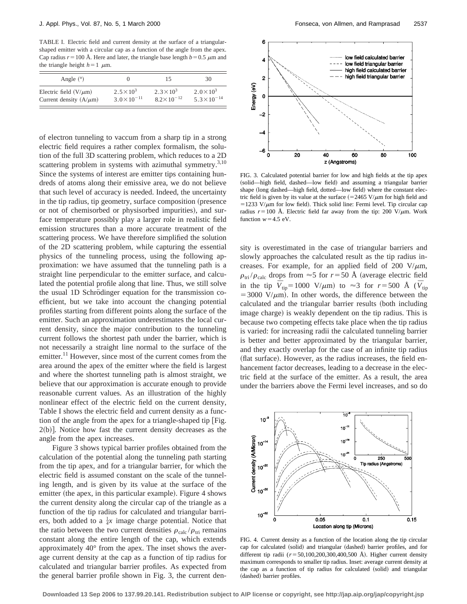TABLE I. Electric field and current density at the surface of a triangularshaped emitter with a circular cap as a function of the angle from the apex. Cap radius  $r=100$  Å. Here and later, the triangle base length  $b=0.5$   $\mu$ m and the triangle height  $h=1$   $\mu$ m.

| Angle $(°)$                 |                       | 15                    | 30                    |
|-----------------------------|-----------------------|-----------------------|-----------------------|
| Electric field $(V/\mu m)$  | $2.5 \times 10^3$     | $2.3 \times 10^3$     | $2.0 \times 10^3$     |
| Current density $(A/\mu m)$ | $3.0 \times 10^{-11}$ | $8.2 \times 10^{-12}$ | $5.3 \times 10^{-14}$ |

of electron tunneling to vaccum from a sharp tip in a strong electric field requires a rather complex formalism, the solution of the full 3D scattering problem, which reduces to a 2D scattering problem in systems with azimuthal symmetry.<sup>3,10</sup> Since the systems of interest are emitter tips containing hundreds of atoms along their emissive area, we do not believe that such level of accuracy is needed. Indeed, the uncertainty in the tip radius, tip geometry, surface composition (presence or not of chemisorbed or physisorbed impurities), and surface temperature possibly play a larger role in realistic field emission structures than a more accurate treatment of the scattering process. We have therefore simplified the solution of the 2D scattering problem, while capturing the essential physics of the tunneling process, using the following approximation: we have assumed that the tunneling path is a straight line perpendicular to the emitter surface, and calculated the potential profile along that line. Thus, we still solve the usual 1D Schrödinger equation for the transmission coefficient, but we take into account the changing potential profiles starting from different points along the surface of the emitter. Such an approximation underestimates the local current density, since the major contribution to the tunneling current follows the shortest path under the barrier, which is not necessarily a straight line normal to the surface of the emitter.<sup>11</sup> However, since most of the current comes from the area around the apex of the emitter where the field is largest and where the shortest tunneling path is almost straight, we believe that our approximation is accurate enough to provide reasonable current values. As an illustration of the highly nonlinear effect of the electric field on the current density, Table I shows the electric field and current density as a function of the angle from the apex for a triangle-shaped tip  $[Fig.$  $2(b)$ ]. Notice how fast the current density decreases as the angle from the apex increases.

Figure 3 shows typical barrier profiles obtained from the calculation of the potential along the tunneling path starting from the tip apex, and for a triangular barrier, for which the electric field is assumed constant on the scale of the tunneling length, and is given by its value at the surface of the emitter (the apex, in this particular example). Figure 4 shows the current density along the circular cap of the triangle as a function of the tip radius for calculated and triangular barriers, both added to a  $\frac{1}{4}x$  image charge potential. Notice that the ratio between the two current densities  $\rho_{\text{calc}} / \rho_{\text{tri}}$  remains constant along the entire length of the cap, which extends approximately 40° from the apex. The inset shows the average current density at the cap as a function of tip radius for calculated and triangular barrier profiles. As expected from the general barrier profile shown in Fig. 3, the current den-



FIG. 3. Calculated potential barrier for low and high fields at the tip apex (solid—high field, dashed—low field) and assuming a triangular barrier shape (long dashed—high field, dotted—low field) where the constant electric field is given by its value at the surface  $(=2465 \text{ V}/\mu \text{m}$  for high field and  $=1233$  V/ $\mu$ m for low field). Thick solid line: Fermi level. Tip circular cap radius  $r=100$  Å. Electric field far away from the tip: 200 V/ $\mu$ m. Work function  $w=4.5$  eV.

sity is overestimated in the case of triangular barriers and slowly approaches the calculated result as the tip radius increases. For example, for an applied field of 200 V/ $\mu$ m,  $\rho_{\text{tri}} / \rho_{\text{calc}}$  drops from  $\approx$  5 for  $r = 50$  Å (average electric field in the tip  $\bar{V}_{\text{tip}}$ =1000 V/ $\mu$ m) to  $\approx$ 3 for *r*=500 Å ( $\bar{V}_{\text{tip}}$  $=$  3000 V/ $\mu$ m). In other words, the difference between the calculated and the triangular barrier results (both including image charge) is weakly dependent on the tip radius. This is because two competing effects take place when the tip radius is varied: for increasing radii the calculated tunneling barrier is better and better approximated by the triangular barrier, and they exactly overlap for the case of an infinite tip radius (flat surface). However, as the radius increases, the field enhancement factor decreases, leading to a decrease in the electric field at the surface of the emitter. As a result, the area under the barriers above the Fermi level increases, and so do



FIG. 4. Current density as a function of the location along the tip circular cap for calculated (solid) and triangular (dashed) barrier profiles, and for different tip radii  $(r=50,100,200,300,400,500 \text{ Å})$ . Higher current density maximum corresponds to smaller tip radius. Inset: average current density at the cap as a function of tip radius for calculated (solid) and triangular (dashed) barrier profiles.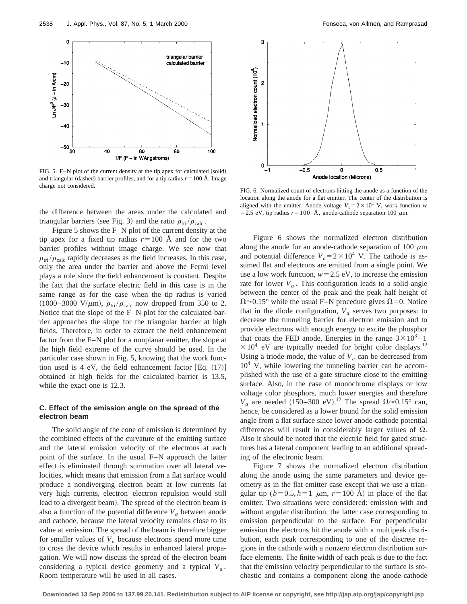

FIG. 5.  $F-N$  plot of the current density at the tip apex for calculated (solid) and triangular (dashed) barrier profiles, and for a tip radius  $r = 100$  Å. Image charge not considered. FIG. 6. Normalized count of electrons hitting the anode as a function of the

the difference between the areas under the calculated and triangular barriers (see Fig. 3) and the ratio  $\rho_{\text{tri}} / \rho_{\text{calc}}$ .

Figure 5 shows the F–N plot of the current density at the tip apex for a fixed tip radius  $r=100$  Å and for the two barrier profiles without image charge. We see now that  $\rho_{\text{tri}} / \rho_{\text{calc}}$  rapidly decreases as the field increases. In this case, only the area under the barrier and above the Fermi level plays a role since the field enhancement is constant. Despite the fact that the surface electric field in this case is in the same range as for the case when the tip radius is varied  $(1000-3000 \text{ V}/\mu\text{m})$ ,  $\rho_{\text{tri}}/\rho_{\text{calc}}$  now dropped from 350 to 2. Notice that the slope of the F–N plot for the calculated barrier approaches the slope for the triangular barrier at high fields. Therefore, in order to extract the field enhancement factor from the F–N plot for a nonplanar emitter, the slope at the high field extreme of the curve should be used. In the particular case shown in Fig. 5, knowing that the work function used is 4 eV, the field enhancement factor  $[Eq. (17)]$ obtained at high fields for the calculated barrier is 13.5, while the exact one is 12.3.

### **C. Effect of the emission angle on the spread of the electron beam**

The solid angle of the cone of emission is determined by the combined effects of the curvature of the emitting surface and the lateral emission velocity of the electrons at each point of the surface. In the usual F–N approach the latter effect is eliminated through summation over all lateral velocities, which means that emission from a flat surface would produce a nondiverging electron beam at low currents (at very high currents, electron–electron repulsion would still lead to a divergent beam). The spread of the electron beam is also a function of the potential difference  $V_a$  between anode and cathode, because the lateral velocity remains close to its value at emission. The spread of the beam is therefore bigger for smaller values of  $V_a$  because electrons spend more time to cross the device which results in enhanced lateral propagation. We will now discuss the spread of the electron beam considering a typical device geometry and a typical *Va* . Room temperature will be used in all cases.



location along the anode for a flat emitter. The center of the distribution is aligned with the emitter. Anode voltage  $V_a = 2 \times 10^4$  V, work function *w* = 2.5 eV, tip radius  $r=100$  Å, anode-cathode separation 100  $\mu$ m.

Figure 6 shows the normalized electron distribution along the anode for an anode-cathode separation of 100  $\mu$ m and potential difference  $V_a = 2 \times 10^4$  V. The cathode is assumed flat and electrons are emitted from a single point. We use a low work function,  $w=2.5$  eV, to increase the emission rate for lower  $V_a$ . This configuration leads to a solid angle between the center of the peak and the peak half height of  $\Omega \approx 0.15^{\circ}$  while the usual F–N procedure gives  $\Omega$ =0. Notice that in the diode configuration,  $V_a$  serves two purposes: to decrease the tunneling barrier for electron emission and to provide electrons with enough energy to excite the phosphor that coats the FED anode. Energies in the range  $3 \times 10^{3} - 1$  $\times 10^4$  eV are typically needed for bright color displays.<sup>12</sup> Using a triode mode, the value of  $V_a$  can be decreased from  $10^4$  V, while lowering the tunneling barrier can be accomplished with the use of a gate structure close to the emitting surface. Also, in the case of monochrome displays or low voltage color phosphors, much lower energies and therefore  $V_a$  are needed (150–300 eV).<sup>12</sup> The spread  $\Omega \approx 0.15^\circ$  can, hence, be considered as a lower bound for the solid emission angle from a flat surface since lower anode-cathode potential differences will result in considerably larger values of  $\Omega$ . Also it should be noted that the electric field for gated structures has a lateral component leading to an additional spreading of the electronic beam.

Figure 7 shows the normalized electron distribution along the anode using the same parameters and device geometry as in the flat emitter case except that we use a triangular tip  $(b=0.5, h=1 \mu m, r=100 \text{ Å})$  in place of the flat emitter. Two situations were considered: emission with and without angular distribution, the latter case corresponding to emission perpendicular to the surface. For perpendicular emission the electrons hit the anode with a multipeak distribution, each peak corresponding to one of the discrete regions in the cathode with a nonzero electron distribution surface elements. The finite width of each peak is due to the fact that the emission velocity perpendicular to the surface is stochastic and contains a component along the anode-cathode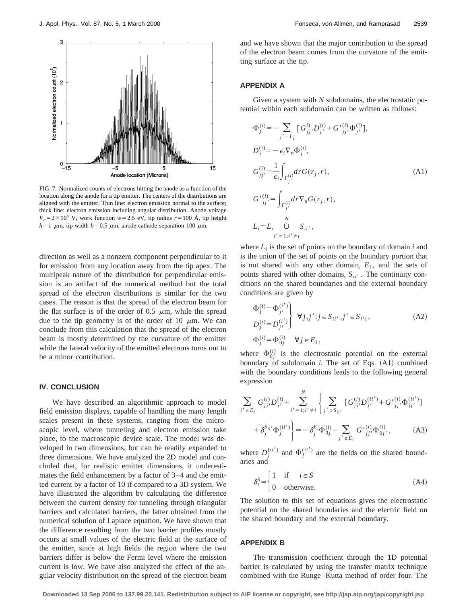

FIG. 7. Normalized counts of electrons hitting the anode as a function of the location along the anode for a tip emitter. The centers of the distributions are aligned with the emitter. Thin line: electron emission normal to the surface; thick line: electron emission including angular distribution. Anode voltage  $V_a = 2 \times 10^4$  V, work function  $w = 2.5$  eV, tip radius  $r = 100$  Å, tip height  $h=1$   $\mu$ m, tip width  $b=0.5$   $\mu$ m, anode-cathode separation 100  $\mu$ m.

direction as well as a nonzero component perpendicular to it for emission from any location away from the tip apex. The multipeak nature of the distribution for perpendicular emission is an artifact of the numerical method but the total spread of the electron distributions is similar for the two cases. The reason is that the spread of the electron beam for the flat surface is of the order of 0.5  $\mu$ m, while the spread due to the tip geometry is of the order of 10  $\mu$ m. We can conclude from this calculation that the spread of the electron beam is mostly determined by the curvature of the emitter while the lateral velocity of the emitted electrons turns out to be a minor contribution.

### **IV. CONCLUSION**

We have described an algorithmic approach to model field emission displays, capable of handling the many length scales present in these systems, ranging from the microscopic level, where tunneling and electron emission take place, to the macroscopic device scale. The model was developed in two dimensions, but can be readily expanded to three dimensions. We have analyzed the 2D model and concluded that, for realistic emitter dimensions, it underestimates the field enhancement by a factor of 3–4 and the emitted current by a factor of 10 if compared to a 3D system. We have illustrated the algorithm by calculating the difference between the current density for tunneling through triangular barriers and calculated barriers, the latter obtained from the numerical solution of Laplace equation. We have shown that the difference resulting from the two barrier profiles mostly occurs at small values of the electric field at the surface of the emitter, since at high fields the region where the two barriers differ is below the Fermi level where the emission current is low. We have also analyzed the effect of the angular velocity distribution on the spread of the electron beam and we have shown that the major contribution to the spread of the electron beam comes from the curvature of the emitting surface at the tip.

### **APPENDIX A**

Given a system with *N* subdomains, the electrostatic potential within each subdomain can be written as follows:

$$
\Phi_{j}^{(i)} = -\sum_{j' \in L_{i}} [G_{jj'}^{i)} D_{j'}^{(i)} + G'_{jj'}^{(i)} \Phi_{j'}^{(i)}],
$$
  
\n
$$
D_{j}^{(i)} = -\epsilon_{i} \nabla_{n} \Phi_{j}^{(i)},
$$
  
\n
$$
G_{jj'}^{(i)} = \frac{1}{\epsilon_{i}} \int_{\Gamma_{j'}^{(i)}} dr G(r_{j}, r),
$$
  
\n
$$
G'_{jj'}^{(i)} = \int_{\Gamma_{j'}^{(i)}} dr \nabla_{n} G(r_{j}, r),
$$
  
\n
$$
L_{i} = E_{i} \bigcup_{j'} S_{ii'},
$$
  
\n
$$
i' = 1; i' \neq i
$$
 (4)

where  $L_i$  is the set of points on the boundary of domain  $i$  and is the union of the set of points on the boundary portion that is not shared with any other domain,  $E_i$ , and the sets of points shared with other domains,  $S_{ii'}$ . The continuity conditions on the shared boundaries and the external boundary conditions are given by

$$
\Phi_j^{(i)} = \Phi_{j'}^{(i')} \n\left\{\n\begin{aligned}\n\mathbf{\Phi}_j^{(i)} &= \mathbf{0}_{j'}^{(i')} \n\end{aligned}\n\right.\n\left.\n\begin{aligned}\n\mathbf{\Psi}_j & \mathbf{\Psi}_j & \mathbf{\Psi}_j^{(i)} &= \mathbf{S}_{ii'} \mathbf{\Psi}_j^{(i)} \\
\mathbf{\Psi}_j^{(i)} &= \mathbf{\Phi}_{0j}^{(i)} \quad \mathbf{\Psi}_j \in E_i,\n\end{aligned}\n\tag{A2}
$$

where  $\Phi_{0j}^{(i)}$  is the electrostatic potential on the external boundary of subdomain  $i$ . The set of Eqs.  $(A1)$  combined with the boundary conditions leads to the following general expression

$$
\sum_{j' \in E_i} G_{jj'}^{(i)} D_{j'}^{(i)} + \sum_{i'=1; i' \neq i}^N \left\{ \sum_{j' \in S_{ii'}} \left[ G_{jj'}^{(i)} D_{j'}^{(ii')} + G_{jj'}^{(i)} \Phi_{jj'}^{(ii')} \right] + \delta_j^{S_{ii'}} \Phi_j^{(ii')} \right\} = -\delta_j^{E_i} \Phi_{0j}^{(i)} - \sum_{j' \in E_i} G_{jj'}^{(i)} \Phi_{0j'}^{(i)}, \tag{A3}
$$

where  $D_j^{(ii')}$  and  $\Phi_j^{(ii')}$  are the fields on the shared boundaries and

$$
\delta_i^S = \begin{cases} 1 & \text{if } i \in S \\ 0 & \text{otherwise.} \end{cases}
$$
 (A4)

The solution to this set of equations gives the electrostatic potential on the shared boundaries and the electric field on the shared boundary and the external boundary.

### **APPENDIX B**

The transmission coefficient through the 1D potential barrier is calculated by using the transfer matrix technique combined with the Runge–Kutta method of order four. The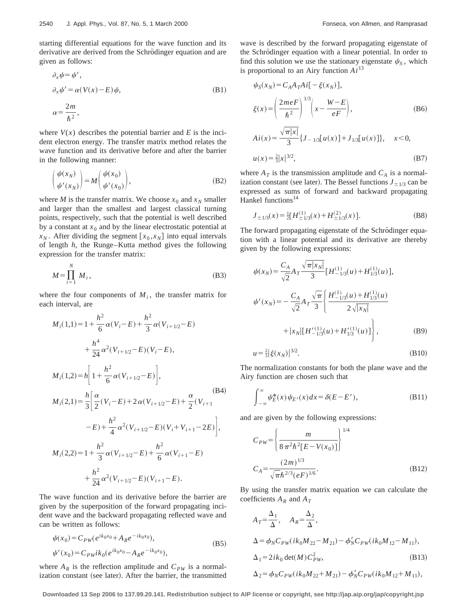starting differential equations for the wave function and its derivative are derived from the Schrödinger equation and are given as follows:

$$
\partial_x \psi = \psi',
$$
  
\n
$$
\partial_x \psi' = \alpha (V(x) - E) \psi,
$$
  
\n
$$
\alpha = \frac{2m}{\hbar^2},
$$
\n(B1)

where  $V(x)$  describes the potential barrier and E is the incident electron energy. The transfer matrix method relates the wave function and its derivative before and after the barrier in the following manner:

$$
\begin{pmatrix} \psi(x_N) \\ \psi'(x_N) \end{pmatrix} = M \begin{pmatrix} \psi(x_0) \\ \psi'(x_0) \end{pmatrix},
$$
 (B2)

where *M* is the transfer matrix. We choose  $x_0$  and  $x_N$  smaller and larger than the smallest and largest classical turning points, respectively, such that the potential is well described by a constant at  $x_0$  and by the linear electrostatic potential at  $x_N$ . After dividing the segment  $[x_0, x_N]$  into equal intervals of length *h*, the Runge–Kutta method gives the following expression for the transfer matrix:

$$
M = \prod_{i=1}^{N} M_i,
$$
 (B3)

where the four components of  $M_i$ , the transfer matrix for each interval, are

$$
M_{i}(1,1)=1+\frac{h^{2}}{6}\alpha(V_{i}-E)+\frac{h^{2}}{3}\alpha(V_{i+1/2}-E)
$$
  
+ $\frac{h^{4}}{24}\alpha^{2}(V_{i+1/2}-E)(V_{i}-E),$   

$$
M_{i}(1,2)=h\left[1+\frac{h^{2}}{6}\alpha(V_{i+1/2}-E)\right],
$$
  

$$
M_{i}(2,1)=\frac{h}{3}\left[\frac{\alpha}{2}(V_{i}-E)+2\alpha(V_{i+1/2}-E)+\frac{\alpha}{2}(V_{i+1}-E)+\frac{h^{2}}{4}\alpha^{2}(V_{i+1/2}-E)(V_{i}+V_{i+1}-2E)\right],
$$
  

$$
M_{i}(2,2)=1+\frac{h^{2}}{3}\alpha(V_{i+1/2}-E)+\frac{h^{2}}{6}\alpha(V_{i+1}-E)
$$
  
+ $\frac{h^{2}}{24}\alpha^{2}(V_{i+1/2}-E)(V_{i+1}-E).$ 

The wave function and its derivative before the barrier are given by the superposition of the forward propagating incident wave and the backward propagating reflected wave and can be written as follows:

$$
\psi(x_0) = C_{PW}(e^{ik_0x_0} + A_R e^{-ik_0x_0}),
$$
  
\n
$$
\psi'(x_0) = C_{PW}ik_0(e^{ik_0x_0} - A_R e^{-ik_0x_0}),
$$
\n(B5)

where  $A_R$  is the reflection amplitude and  $C_{PW}$  is a normalization constant (see later). After the barrier, the transmitted wave is described by the forward propagating eigenstate of the Schrödinger equation with a linear potential. In order to find this solution we use the stationary eigenstate  $\psi_s$ , which is proportional to an Airy function  $Ai^{13}$ 

$$
\psi_S(x_N) = C_A A_T A i[-\xi(x_N)],
$$
\n
$$
\xi(x) = \left(\frac{2meF}{\hbar^2}\right)^{1/3} \left(x - \frac{W - E}{eF}\right),
$$
\n
$$
Ai(x) = \frac{\sqrt{\pi|x|}}{3} \{J_{-1/3}[u(x)] + J_{1/3}[u(x)]\}, \quad x < 0,
$$
\n
$$
u(x) = \frac{2}{3}|x|^{3/2},
$$
\n(B7)

where  $A_T$  is the transmission amplitude and  $C_A$  is a normalization constant (see later). The Bessel functions  $J_{\pm 1/3}$  can be expressed as sums of forward and backward propagating Hankel functions<sup>14</sup>

$$
J_{\pm 1/3}(x) = \frac{1}{2} [H_{\pm 1/3}^{(1)}(x) + H_{\pm 1/3}^{(2)}(x)].
$$
 (B8)

The forward propagating eigenstate of the Schrödinger equation with a linear potential and its derivative are thereby given by the following expressions:

$$
\psi(x_N) = \frac{C_A}{\sqrt{2}} A_T \frac{\sqrt{\pi |x_N|}}{3} [H_{-1/3}^{(1)}(u) + H_{1/3}^{(1)}(u)],
$$
  

$$
\psi'(x_N) = -\frac{C_A}{\sqrt{2}} A_T \frac{\sqrt{\pi}}{3} \left\{ \frac{H_{-1/3}^{(1)}(u) + H_{1/3}^{(1)}(u)}{2\sqrt{|x_N|}} + |x_N| [H_{-1/3}^{(1)}(u) + H_{1/3}^{(1)}(u)] \right\},
$$
 (B9)

$$
u = \frac{2}{3} \left| \xi(x_N) \right|^{3/2}.
$$
 (B10)

The normalization constants for both the plane wave and the Airy function are chosen such that

$$
\int_{-\infty}^{\infty} \psi_E^*(x) \psi_{E'}(x) dx = \delta(E - E'), \tag{B11}
$$

and are given by the following expressions:

$$
C_{PW} = \left\{ \frac{m}{8\pi^2 \hbar^2 [E - V(x_0)]} \right\}^{1/4}
$$
  

$$
C_A = \frac{(2m)^{1/3}}{\sqrt{\pi} \hbar^{2/3} (eF)^{1/6}}.
$$
 (B12)

By using the transfer matrix equation we can calculate the coefficients  $A_R$  and  $A_T$ 

$$
A_T = \frac{\Delta_1}{\Delta}, \quad A_R = \frac{\Delta_2}{\Delta},
$$
  
\n
$$
\Delta = \phi_N C_{PW}(ik_0 M_{22} - M_{21}) - \phi'_N C_{PW}(ik_0 M_{12} - M_{11}),
$$
  
\n
$$
\Delta_1 = 2ik_0 \det(M) C_{PW}^2,
$$
\n(B13)  
\n
$$
\Delta_2 = \phi_N C_{PW}(ik_0 M_{22} + M_{21}) - \phi'_N C_{PW}(ik_0 M_{12} + M_{11}),
$$